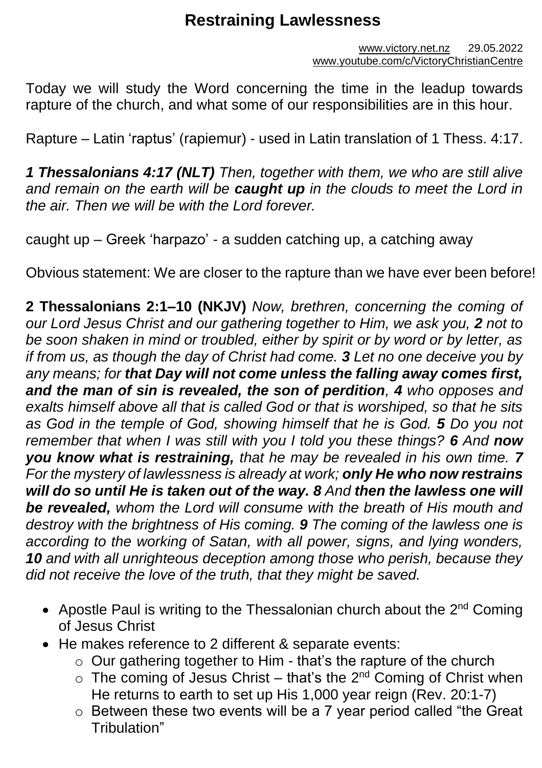# **Restraining Lawlessness**

Today we will study the Word concerning the time in the leadup towards rapture of the church, and what some of our responsibilities are in this hour.

Rapture – Latin 'raptus' (rapiemur) - used in Latin translation of 1 Thess. 4:17.

*1 Thessalonians 4:17 (NLT) Then, together with them, we who are still alive and remain on the earth will be caught up in the clouds to meet the Lord in the air. Then we will be with the Lord forever.*

caught up – Greek 'harpazo' - a sudden catching up, a catching away

Obvious statement: We are closer to the rapture than we have ever been before!

**2 Thessalonians 2:1–10 (NKJV)** *Now, brethren, concerning the coming of our Lord Jesus Christ and our gathering together to Him, we ask you, 2 not to be soon shaken in mind or troubled, either by spirit or by word or by letter, as if from us, as though the day of Christ had come. 3 Let no one deceive you by any means; for that Day will not come unless the falling away comes first, and the man of sin is revealed, the son of perdition, 4 who opposes and exalts himself above all that is called God or that is worshiped, so that he sits as God in the temple of God, showing himself that he is God. 5 Do you not remember that when I was still with you I told you these things? 6 And now you know what is restraining, that he may be revealed in his own time. 7 For the mystery of lawlessness is already at work; only He who now restrains will do so until He is taken out of the way. 8 And then the lawless one will be revealed, whom the Lord will consume with the breath of His mouth and destroy with the brightness of His coming. 9 The coming of the lawless one is according to the working of Satan, with all power, signs, and lying wonders, 10 and with all unrighteous deception among those who perish, because they did not receive the love of the truth, that they might be saved.*

- Apostle Paul is writing to the Thessalonian church about the  $2^{nd}$  Coming of Jesus Christ
- He makes reference to 2 different & separate events:
	- o Our gathering together to Him that's the rapture of the church
	- $\circ$  The coming of Jesus Christ that's the 2<sup>nd</sup> Coming of Christ when He returns to earth to set up His 1,000 year reign (Rev. 20:1-7)
	- o Between these two events will be a 7 year period called "the Great Tribulation"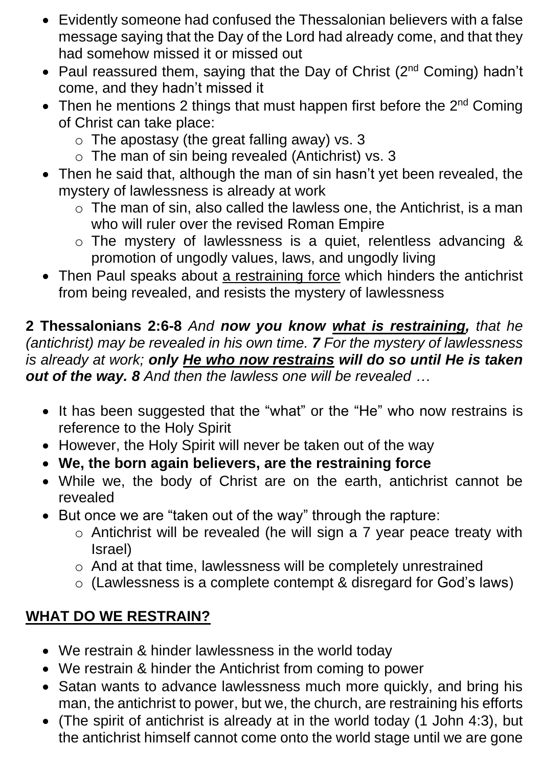- Evidently someone had confused the Thessalonian believers with a false message saying that the Day of the Lord had already come, and that they had somehow missed it or missed out
- Paul reassured them, saying that the Day of Christ (2<sup>nd</sup> Coming) hadn't come, and they hadn't missed it
- Then he mentions 2 things that must happen first before the  $2<sup>nd</sup>$  Coming of Christ can take place:
	- $\circ$  The apostasy (the great falling away) vs. 3
	- o The man of sin being revealed (Antichrist) vs. 3
- Then he said that, although the man of sin hasn't yet been revealed, the mystery of lawlessness is already at work
	- $\circ$  The man of sin, also called the lawless one, the Antichrist, is a man who will ruler over the revised Roman Empire
	- o The mystery of lawlessness is a quiet, relentless advancing & promotion of ungodly values, laws, and ungodly living
- Then Paul speaks about a restraining force which hinders the antichrist from being revealed, and resists the mystery of lawlessness

**2 Thessalonians 2:6-8** *And now you know what is restraining, that he (antichrist) may be revealed in his own time. 7 For the mystery of lawlessness is already at work; only He who now restrains will do so until He is taken out of the way. 8 And then the lawless one will be revealed …* 

- It has been suggested that the "what" or the "He" who now restrains is reference to the Holy Spirit
- However, the Holy Spirit will never be taken out of the way
- **We, the born again believers, are the restraining force**
- While we, the body of Christ are on the earth, antichrist cannot be revealed
- But once we are "taken out of the way" through the rapture:
	- o Antichrist will be revealed (he will sign a 7 year peace treaty with Israel)
	- o And at that time, lawlessness will be completely unrestrained
	- o (Lawlessness is a complete contempt & disregard for God's laws)

## **WHAT DO WE RESTRAIN?**

- We restrain & hinder lawlessness in the world today
- We restrain & hinder the Antichrist from coming to power
- Satan wants to advance lawlessness much more quickly, and bring his man, the antichrist to power, but we, the church, are restraining his efforts
- (The spirit of antichrist is already at in the world today (1 John 4:3), but the antichrist himself cannot come onto the world stage until we are gone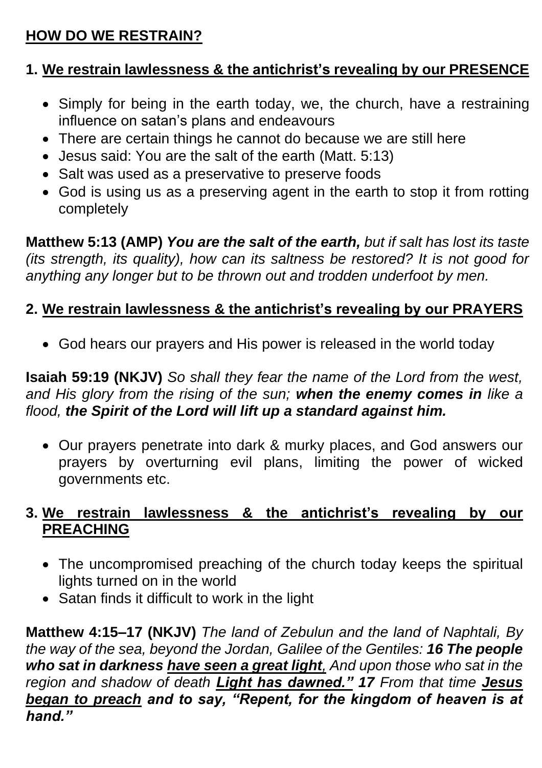## **HOW DO WE RESTRAIN?**

## **1. We restrain lawlessness & the antichrist's revealing by our PRESENCE**

- Simply for being in the earth today, we, the church, have a restraining influence on satan's plans and endeavours
- There are certain things he cannot do because we are still here
- Jesus said: You are the salt of the earth (Matt. 5:13)
- Salt was used as a preservative to preserve foods
- God is using us as a preserving agent in the earth to stop it from rotting completely

**Matthew 5:13 (AMP)** *You are the salt of the earth, but if salt has lost its taste (its strength, its quality), how can its saltness be restored? It is not good for anything any longer but to be thrown out and trodden underfoot by men.*

## **2. We restrain lawlessness & the antichrist's revealing by our PRAYERS**

• God hears our prayers and His power is released in the world today

**Isaiah 59:19 (NKJV)** *So shall they fear the name of the Lord from the west, and His glory from the rising of the sun; when the enemy comes in like a flood, the Spirit of the Lord will lift up a standard against him.*

• Our prayers penetrate into dark & murky places, and God answers our prayers by overturning evil plans, limiting the power of wicked governments etc.

#### **3. We restrain lawlessness & the antichrist's revealing by our PREACHING**

- The uncompromised preaching of the church today keeps the spiritual lights turned on in the world
- Satan finds it difficult to work in the light

**Matthew 4:15–17 (NKJV)** *The land of Zebulun and the land of Naphtali, By the way of the sea, beyond the Jordan, Galilee of the Gentiles: 16 The people who sat in darkness have seen a great light, And upon those who sat in the region and shadow of death Light has dawned." 17 From that time Jesus began to preach and to say, "Repent, for the kingdom of heaven is at hand."*